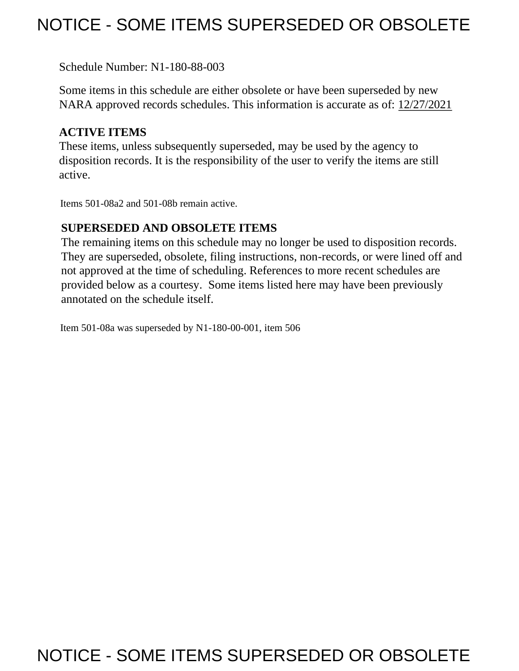## NOTICE - SOME ITEMS SUPERSEDED OR OBSOLETE

Schedule Number: N1-180-88-003

 Some items in this schedule are either obsolete or have been superseded by new NARA approved records schedules. This information is accurate as of: 12/27/2021

## **ACTIVE ITEMS**

 These items, unless subsequently superseded, may be used by the agency to disposition records. It is the responsibility of the user to verify the items are still active.

Items 501-08a2 and 501-08b remain active.

## **SUPERSEDED AND OBSOLETE ITEMS**

 The remaining items on this schedule may no longer be used to disposition records. not approved at the time of scheduling. References to more recent schedules are provided below as a courtesy. Some items listed here may have been previously They are superseded, obsolete, filing instructions, non-records, or were lined off and annotated on the schedule itself.

Item 501-08a was superseded by N1-180-00-001, item 506